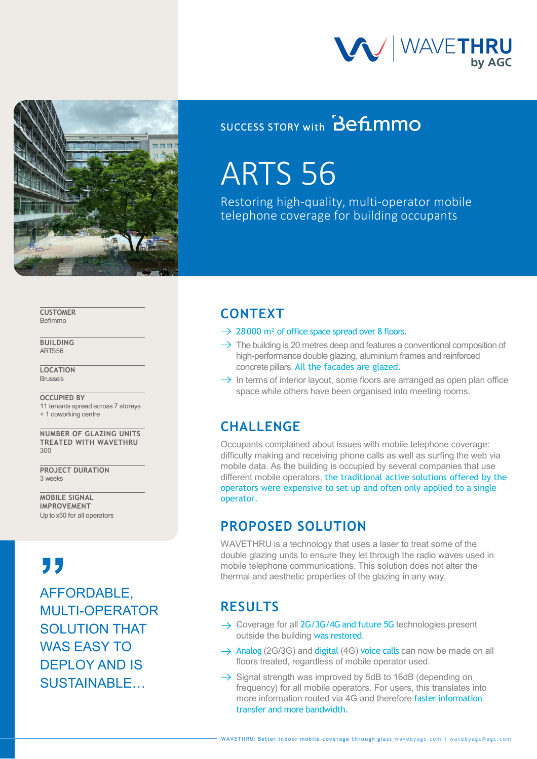



### SUCCESS STORY with **Befimmo**

# ARTS 56

Restoring high-quality, multi-operator mobile telephone coverage for building occupants

**CUSTOMER** Befimmo

**BUILDING** ARTS 56

**LOCATION Brussels** 

**OCCUPIED BY** 11 tenants spread across 7 storeys + 1 coworking centre

**NUMBER OF GLAZING UNITS TREATED WITH WAVETHRU** 300

**PROJECT DURATION** 3 weeks

**MOBILE SIGNAL IMPROVEMENT** Up to x50 for all operators

AFFORDABLE, MULTI-OPERATOR SOLUTION THAT WAS EASY TO DEPLOY AND IS SUSTAINABLE… **", ", ", ", "**<br>AFF<sup>(</sup>

### **CONTEXT**

- $\rightarrow$  28000 m<sup>2</sup> of office space spread over 8 floors.
- $\rightarrow$  The building is 20 metres deep and features a conventional composition of high-performance double glazing, aluminium frames and reinforced concrete pillars. All the facades are glazed.
- $\rightarrow$  In terms of interior layout, some floors are arranged as open plan office space while others have been organised into meeting rooms.

### **CHALLENGE**

Occupants complained about issues with mobile telephone coverage: difficulty making and receiving phone calls as well as surfing the web via mobile data. As the building is occupied by several companies that use different mobile operators, the traditional active solutions offered by the operators were expensive to set up and often only applied to a single operator.

### **PROPOSED SOLUTION**

WAVETHRU is a technology that uses a laser to treat some of the double glazing units to ensure they let through the radio waves used in mobile telephone communications. This solution does not alter the thermal and aesthetic properties of the glazing in any way.

### **RESULTS**

- $\rightarrow$  Coverage for all 2G/3G/4G and future 5G technologies present outside the building was restored.
- $\rightarrow$  Analog (2G/3G) and digital (4G) voice calls can now be made on all floors treated, regardless of mobile operator used.
- $\rightarrow$  Signal strength was improved by 5dB to 16dB (depending on frequency) for all mobile operators. For users, this translates into more information routed via 4G and therefore faster information transfer and more bandwidth.